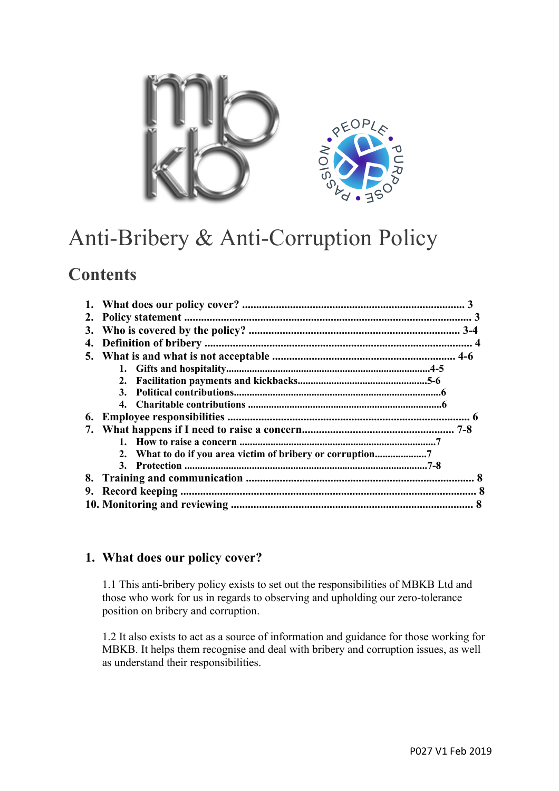

# Anti-Bribery & Anti-Corruption Policy

# **Contents**

| 2. |    |  |
|----|----|--|
| 3. |    |  |
| 4. |    |  |
|    |    |  |
|    |    |  |
|    | 2. |  |
|    |    |  |
|    |    |  |
| 6. |    |  |
| 7. |    |  |
|    |    |  |
|    |    |  |
|    |    |  |
| 8. |    |  |
| 9. |    |  |
|    |    |  |

# **1. What does our policy cover?**

1.1 This anti-bribery policy exists to set out the responsibilities of MBKB Ltd and those who work for us in regards to observing and upholding our zero-tolerance position on bribery and corruption.

1.2 It also exists to act as a source of information and guidance for those working for MBKB. It helps them recognise and deal with bribery and corruption issues, as well as understand their responsibilities.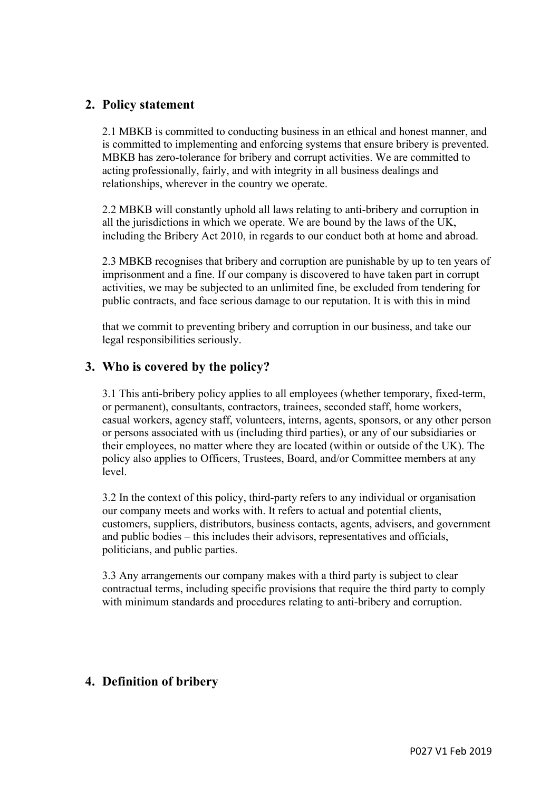# **2. Policy statement**

2.1 MBKB is committed to conducting business in an ethical and honest manner, and is committed to implementing and enforcing systems that ensure bribery is prevented. MBKB has zero-tolerance for bribery and corrupt activities. We are committed to acting professionally, fairly, and with integrity in all business dealings and relationships, wherever in the country we operate.

2.2 MBKB will constantly uphold all laws relating to anti-bribery and corruption in all the jurisdictions in which we operate. We are bound by the laws of the UK, including the Bribery Act 2010, in regards to our conduct both at home and abroad.

2.3 MBKB recognises that bribery and corruption are punishable by up to ten years of imprisonment and a fine. If our company is discovered to have taken part in corrupt activities, we may be subjected to an unlimited fine, be excluded from tendering for public contracts, and face serious damage to our reputation. It is with this in mind

that we commit to preventing bribery and corruption in our business, and take our legal responsibilities seriously.

# **3. Who is covered by the policy?**

3.1 This anti-bribery policy applies to all employees (whether temporary, fixed-term, or permanent), consultants, contractors, trainees, seconded staff, home workers, casual workers, agency staff, volunteers, interns, agents, sponsors, or any other person or persons associated with us (including third parties), or any of our subsidiaries or their employees, no matter where they are located (within or outside of the UK). The policy also applies to Officers, Trustees, Board, and/or Committee members at any level.

3.2 In the context of this policy, third-party refers to any individual or organisation our company meets and works with. It refers to actual and potential clients, customers, suppliers, distributors, business contacts, agents, advisers, and government and public bodies – this includes their advisors, representatives and officials, politicians, and public parties.

3.3 Any arrangements our company makes with a third party is subject to clear contractual terms, including specific provisions that require the third party to comply with minimum standards and procedures relating to anti-bribery and corruption.

# **4. Definition of bribery**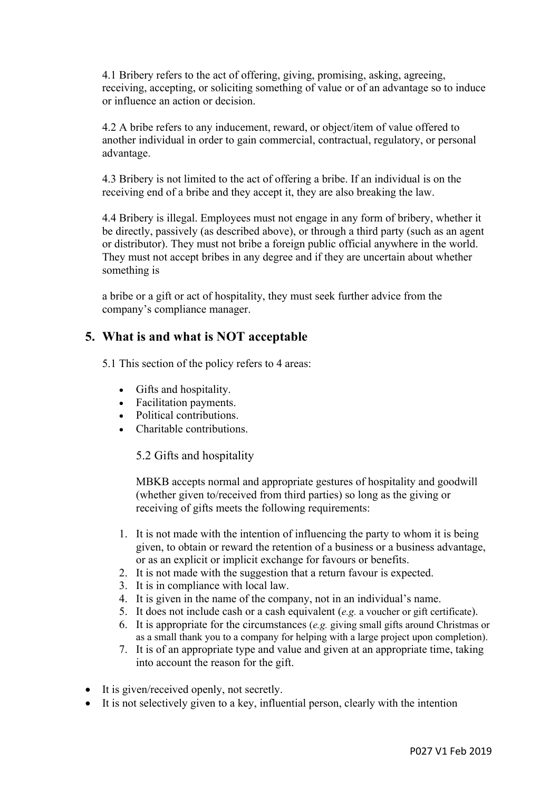4.1 Bribery refers to the act of offering, giving, promising, asking, agreeing, receiving, accepting, or soliciting something of value or of an advantage so to induce or influence an action or decision.

4.2 A bribe refers to any inducement, reward, or object/item of value offered to another individual in order to gain commercial, contractual, regulatory, or personal advantage.

4.3 Bribery is not limited to the act of offering a bribe. If an individual is on the receiving end of a bribe and they accept it, they are also breaking the law.

4.4 Bribery is illegal. Employees must not engage in any form of bribery, whether it be directly, passively (as described above), or through a third party (such as an agent or distributor). They must not bribe a foreign public official anywhere in the world. They must not accept bribes in any degree and if they are uncertain about whether something is

a bribe or a gift or act of hospitality, they must seek further advice from the company's compliance manager.

# **5. What is and what is NOT acceptable**

5.1 This section of the policy refers to 4 areas:

- Gifts and hospitality.
- Facilitation payments.
- Political contributions.
- Charitable contributions.

5.2 Gifts and hospitality

MBKB accepts normal and appropriate gestures of hospitality and goodwill (whether given to/received from third parties) so long as the giving or receiving of gifts meets the following requirements:

- 1. It is not made with the intention of influencing the party to whom it is being given, to obtain or reward the retention of a business or a business advantage, or as an explicit or implicit exchange for favours or benefits.
- 2. It is not made with the suggestion that a return favour is expected.
- 3. It is in compliance with local law.
- 4. It is given in the name of the company, not in an individual's name.
- 5. It does not include cash or a cash equivalent (*e.g.* a voucher or gift certificate).
- 6. It is appropriate for the circumstances (*e.g.* giving small gifts around Christmas or as a small thank you to a company for helping with a large project upon completion).
- 7. It is of an appropriate type and value and given at an appropriate time, taking into account the reason for the gift.
- It is given/received openly, not secretly.
- It is not selectively given to a key, influential person, clearly with the intention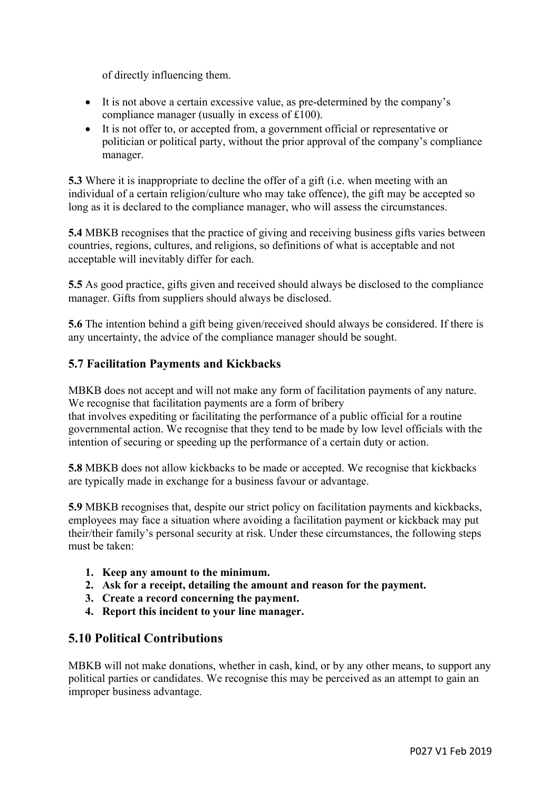of directly influencing them.

- It is not above a certain excessive value, as pre-determined by the company's compliance manager (usually in excess of £100).
- It is not offer to, or accepted from, a government official or representative or politician or political party, without the prior approval of the company's compliance manager.

**5.3** Where it is inappropriate to decline the offer of a gift (i.e. when meeting with an individual of a certain religion/culture who may take offence), the gift may be accepted so long as it is declared to the compliance manager, who will assess the circumstances.

**5.4** MBKB recognises that the practice of giving and receiving business gifts varies between countries, regions, cultures, and religions, so definitions of what is acceptable and not acceptable will inevitably differ for each.

**5.5** As good practice, gifts given and received should always be disclosed to the compliance manager. Gifts from suppliers should always be disclosed.

**5.6** The intention behind a gift being given/received should always be considered. If there is any uncertainty, the advice of the compliance manager should be sought.

#### **5.7 Facilitation Payments and Kickbacks**

MBKB does not accept and will not make any form of facilitation payments of any nature. We recognise that facilitation payments are a form of bribery

that involves expediting or facilitating the performance of a public official for a routine governmental action. We recognise that they tend to be made by low level officials with the intention of securing or speeding up the performance of a certain duty or action.

**5.8** MBKB does not allow kickbacks to be made or accepted. We recognise that kickbacks are typically made in exchange for a business favour or advantage.

**5.9** MBKB recognises that, despite our strict policy on facilitation payments and kickbacks, employees may face a situation where avoiding a facilitation payment or kickback may put their/their family's personal security at risk. Under these circumstances, the following steps must be taken:

- **1. Keep any amount to the minimum.**
- **2. Ask for a receipt, detailing the amount and reason for the payment.**
- **3. Create a record concerning the payment.**
- **4. Report this incident to your line manager.**

#### **5.10 Political Contributions**

MBKB will not make donations, whether in cash, kind, or by any other means, to support any political parties or candidates. We recognise this may be perceived as an attempt to gain an improper business advantage.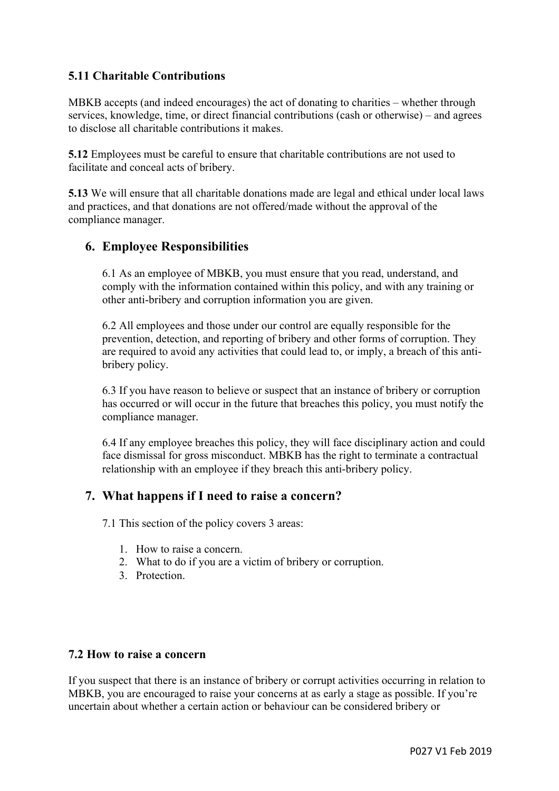# **5.11 Charitable Contributions**

MBKB accepts (and indeed encourages) the act of donating to charities – whether through services, knowledge, time, or direct financial contributions (cash or otherwise) – and agrees to disclose all charitable contributions it makes.

**5.12** Employees must be careful to ensure that charitable contributions are not used to facilitate and conceal acts of bribery.

**5.13** We will ensure that all charitable donations made are legal and ethical under local laws and practices, and that donations are not offered/made without the approval of the compliance manager.

#### **6. Employee Responsibilities**

6.1 As an employee of MBKB, you must ensure that you read, understand, and comply with the information contained within this policy, and with any training or other anti-bribery and corruption information you are given.

6.2 All employees and those under our control are equally responsible for the prevention, detection, and reporting of bribery and other forms of corruption. They are required to avoid any activities that could lead to, or imply, a breach of this antibribery policy.

6.3 If you have reason to believe or suspect that an instance of bribery or corruption has occurred or will occur in the future that breaches this policy, you must notify the compliance manager.

6.4 If any employee breaches this policy, they will face disciplinary action and could face dismissal for gross misconduct. MBKB has the right to terminate a contractual relationship with an employee if they breach this anti-bribery policy.

#### **7. What happens if I need to raise a concern?**

7.1 This section of the policy covers 3 areas:

- 1. How to raise a concern.
- 2. What to do if you are a victim of bribery or corruption.
- 3. Protection.

#### **7.2 How to raise a concern**

If you suspect that there is an instance of bribery or corrupt activities occurring in relation to MBKB, you are encouraged to raise your concerns at as early a stage as possible. If you're uncertain about whether a certain action or behaviour can be considered bribery or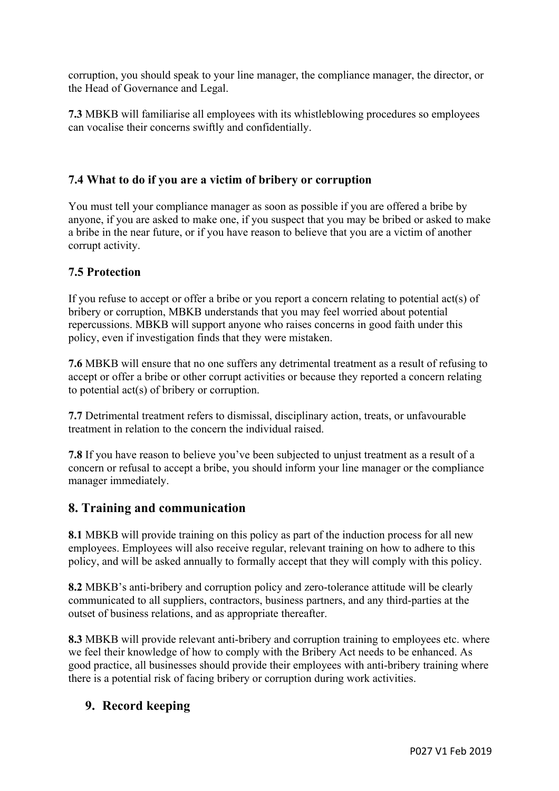corruption, you should speak to your line manager, the compliance manager, the director, or the Head of Governance and Legal.

**7.3** MBKB will familiarise all employees with its whistleblowing procedures so employees can vocalise their concerns swiftly and confidentially.

#### **7.4 What to do if you are a victim of bribery or corruption**

You must tell your compliance manager as soon as possible if you are offered a bribe by anyone, if you are asked to make one, if you suspect that you may be bribed or asked to make a bribe in the near future, or if you have reason to believe that you are a victim of another corrupt activity.

#### **7.5 Protection**

If you refuse to accept or offer a bribe or you report a concern relating to potential act(s) of bribery or corruption, MBKB understands that you may feel worried about potential repercussions. MBKB will support anyone who raises concerns in good faith under this policy, even if investigation finds that they were mistaken.

**7.6** MBKB will ensure that no one suffers any detrimental treatment as a result of refusing to accept or offer a bribe or other corrupt activities or because they reported a concern relating to potential act(s) of bribery or corruption.

**7.7** Detrimental treatment refers to dismissal, disciplinary action, treats, or unfavourable treatment in relation to the concern the individual raised.

**7.8** If you have reason to believe you've been subjected to unjust treatment as a result of a concern or refusal to accept a bribe, you should inform your line manager or the compliance manager immediately.

# **8. Training and communication**

**8.1** MBKB will provide training on this policy as part of the induction process for all new employees. Employees will also receive regular, relevant training on how to adhere to this policy, and will be asked annually to formally accept that they will comply with this policy.

**8.2** MBKB's anti-bribery and corruption policy and zero-tolerance attitude will be clearly communicated to all suppliers, contractors, business partners, and any third-parties at the outset of business relations, and as appropriate thereafter.

**8.3** MBKB will provide relevant anti-bribery and corruption training to employees etc. where we feel their knowledge of how to comply with the Bribery Act needs to be enhanced. As good practice, all businesses should provide their employees with anti-bribery training where there is a potential risk of facing bribery or corruption during work activities.

# **9. Record keeping**